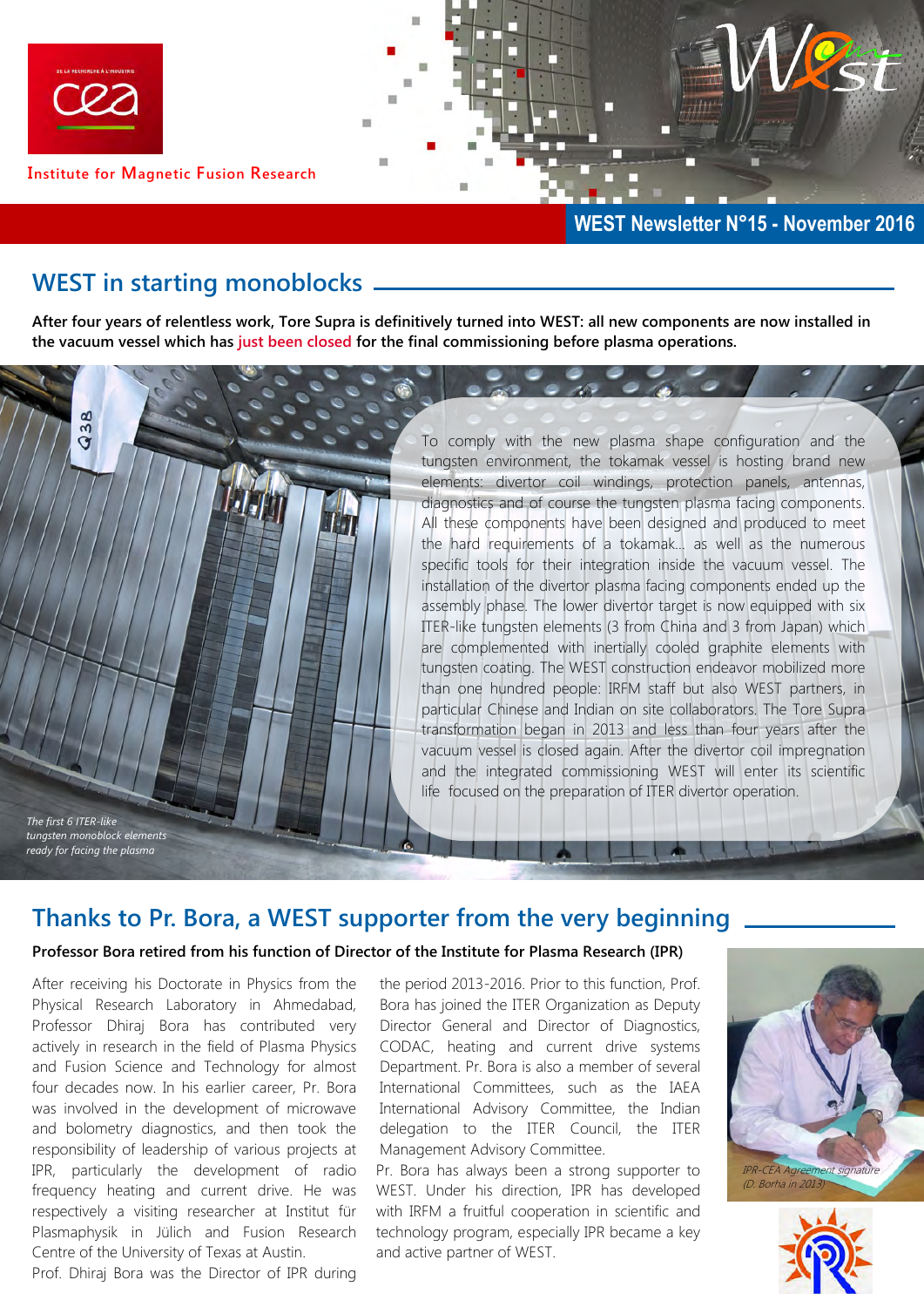

### **WEST in starting monoblocks**

**After four years of relentless work, Tore Supra is definitively turned into WEST: all new components are now installed in the vacuum vessel which has just been closed for the final commissioning before plasma operations.** 

> To comply with the new plasma shape configuration and the tungsten environment, the tokamak vessel is hosting brand new elements: divertor coil windings, protection panels, antennas, diagnostics and of course the tungsten plasma facing components. All these components have been designed and produced to meet the hard requirements of a tokamak… as well as the numerous specific tools for their integration inside the vacuum vessel. The installation of the divertor plasma facing components ended up the assembly phase. The lower divertor target is now equipped with six ITER-like tungsten elements (3 from China and 3 from Japan) which are complemented with inertially cooled graphite elements with tungsten coating. The WEST construction endeavor mobilized more than one hundred people: IRFM staff but also WEST partners, in particular Chinese and Indian on site collaborators. The Tore Supra transformation began in 2013 and less than four years after the vacuum vessel is closed again. After the divertor coil impregnation and the integrated commissioning WEST will enter its scientific life focused on the preparation of ITER divertor operation.

## **Thanks to Pr. Bora, a WEST supporter from the very beginning**

#### **Professor Bora retired from his function of Director of the Institute for Plasma Research (IPR)**

After receiving his Doctorate in Physics from the Physical Research Laboratory in Ahmedabad, Professor Dhiraj Bora has contributed very actively in research in the field of Plasma Physics and Fusion Science and Technology for almost four decades now. In his earlier career, Pr. Bora was involved in the development of microwave and bolometry diagnostics, and then took the responsibility of leadership of various projects at IPR, particularly the development of radio frequency heating and current drive. He was respectively a visiting researcher at Institut für Plasmaphysik in Jülich and Fusion Research Centre of the University of Texas at Austin. Prof. Dhiraj Bora was the Director of IPR during

*The first 6 ITER-like tungsten monoblock elements ready for facing the plasma*

**Q38** 

the period 2013-2016. Prior to this function, Prof. Bora has joined the ITER Organization as Deputy Director General and Director of Diagnostics, CODAC, heating and current drive systems Department. Pr. Bora is also a member of several International Committees, such as the IAEA International Advisory Committee, the Indian delegation to the ITER Council, the ITER Management Advisory Committee.

Pr. Bora has always been a strong supporter to WEST. Under his direction, IPR has developed with IRFM a fruitful cooperation in scientific and technology program, especially IPR became a key and active partner of WEST.